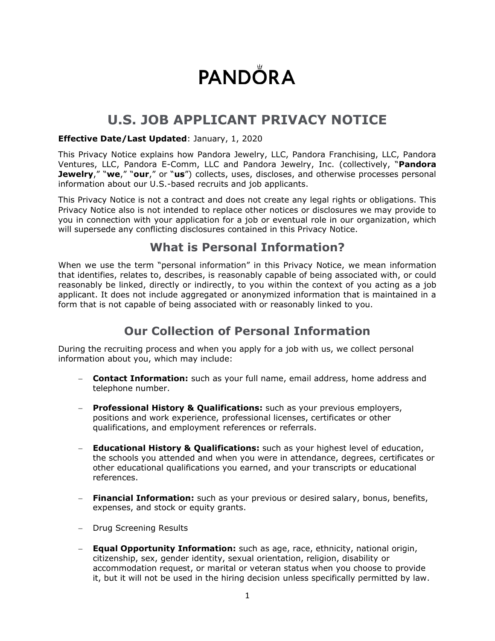# **PANDÖRA**

## **U.S. JOB APPLICANT PRIVACY NOTICE**

#### **Effective Date/Last Updated**: January, 1, 2020

This Privacy Notice explains how Pandora Jewelry, LLC, Pandora Franchising, LLC, Pandora Ventures, LLC, Pandora E-Comm, LLC and Pandora Jewelry, Inc. (collectively, "**Pandora Jewelry**," "**we**," "**our**," or "**us**") collects, uses, discloses, and otherwise processes personal information about our U.S.-based recruits and job applicants.

This Privacy Notice is not a contract and does not create any legal rights or obligations. This Privacy Notice also is not intended to replace other notices or disclosures we may provide to you in connection with your application for a job or eventual role in our organization, which will supersede any conflicting disclosures contained in this Privacy Notice.

#### **What is Personal Information?**

When we use the term "personal information" in this Privacy Notice, we mean information that identifies, relates to, describes, is reasonably capable of being associated with, or could reasonably be linked, directly or indirectly, to you within the context of you acting as a job applicant. It does not include aggregated or anonymized information that is maintained in a form that is not capable of being associated with or reasonably linked to you.

#### **Our Collection of Personal Information**

During the recruiting process and when you apply for a job with us, we collect personal information about you, which may include:

- − **Contact Information:** such as your full name, email address, home address and telephone number.
- **Professional History & Qualifications:** such as your previous employers, positions and work experience, professional licenses, certificates or other qualifications, and employment references or referrals.
- **Educational History & Qualifications:** such as your highest level of education, the schools you attended and when you were in attendance, degrees, certificates or other educational qualifications you earned, and your transcripts or educational references.
- − **Financial Information:** such as your previous or desired salary, bonus, benefits, expenses, and stock or equity grants.
- − Drug Screening Results
- − **Equal Opportunity Information:** such as age, race, ethnicity, national origin, citizenship, sex, gender identity, sexual orientation, religion, disability or accommodation request, or marital or veteran status when you choose to provide it, but it will not be used in the hiring decision unless specifically permitted by law.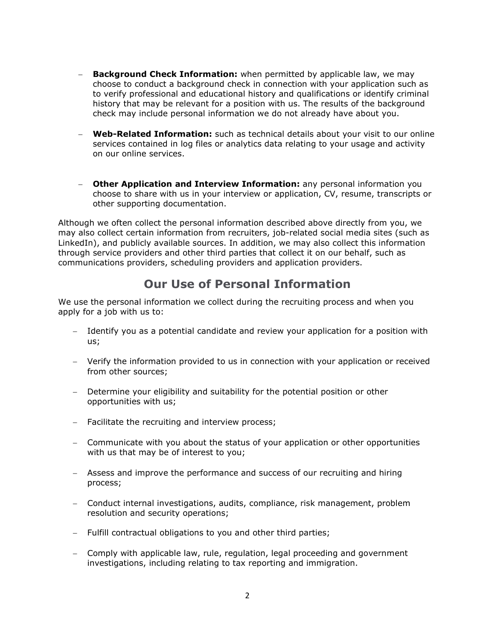- − **Background Check Information:** when permitted by applicable law, we may choose to conduct a background check in connection with your application such as to verify professional and educational history and qualifications or identify criminal history that may be relevant for a position with us. The results of the background check may include personal information we do not already have about you.
- − **Web-Related Information:** such as technical details about your visit to our online services contained in log files or analytics data relating to your usage and activity on our online services.
- − **Other Application and Interview Information:** any personal information you choose to share with us in your interview or application, CV, resume, transcripts or other supporting documentation.

Although we often collect the personal information described above directly from you, we may also collect certain information from recruiters, job-related social media sites (such as LinkedIn), and publicly available sources. In addition, we may also collect this information through service providers and other third parties that collect it on our behalf, such as communications providers, scheduling providers and application providers.

#### **Our Use of Personal Information**

We use the personal information we collect during the recruiting process and when you apply for a job with us to:

- − Identify you as a potential candidate and review your application for a position with us;
- − Verify the information provided to us in connection with your application or received from other sources;
- − Determine your eligibility and suitability for the potential position or other opportunities with us;
- − Facilitate the recruiting and interview process;
- − Communicate with you about the status of your application or other opportunities with us that may be of interest to you;
- − Assess and improve the performance and success of our recruiting and hiring process;
- − Conduct internal investigations, audits, compliance, risk management, problem resolution and security operations;
- − Fulfill contractual obligations to you and other third parties;
- − Comply with applicable law, rule, regulation, legal proceeding and government investigations, including relating to tax reporting and immigration.